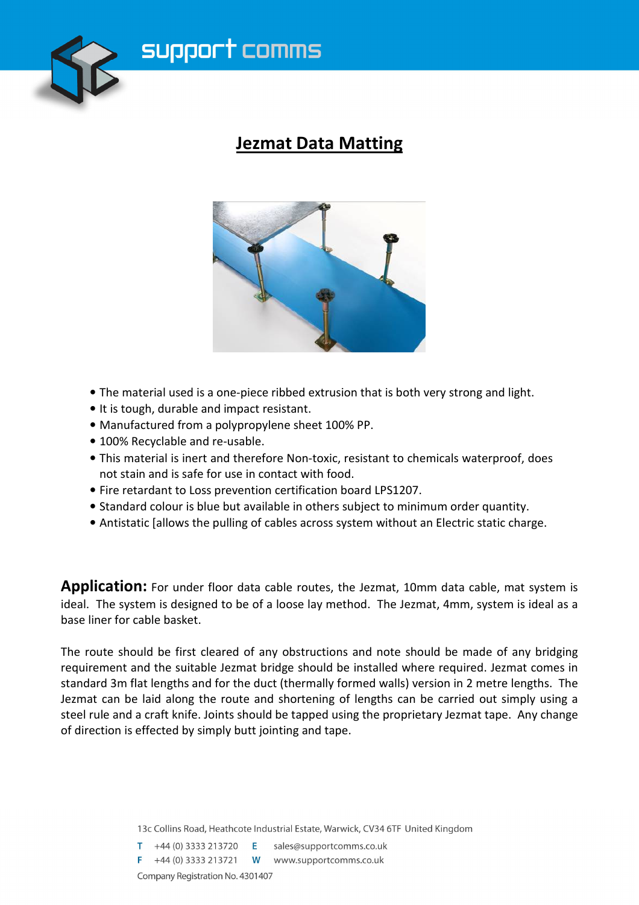

### **Jezmat Data Matting**



- The material used is a one-piece ribbed extrusion that is both very strong and light.
- It is tough, durable and impact resistant.
- Manufactured from a polypropylene sheet 100% PP.
- 100% Recyclable and re-usable.
- This material is inert and therefore Non-toxic, resistant to chemicals waterproof, does not stain and is safe for use in contact with food.
- Fire retardant to Loss prevention certification board LPS1207.
- Standard colour is blue but available in others subject to minimum order quantity.
- Antistatic [allows the pulling of cables across system without an Electric static charge.

**Application:** For under floor data cable routes, the Jezmat, 10mm data cable, mat system is ideal. The system is designed to be of a loose lay method. The Jezmat, 4mm, system is ideal as a base liner for cable basket.

The route should be first cleared of any obstructions and note should be made of any bridging requirement and the suitable Jezmat bridge should be installed where required. Jezmat comes in standard 3m flat lengths and for the duct (thermally formed walls) version in 2 metre lengths. The Jezmat can be laid along the route and shortening of lengths can be carried out simply using a steel rule and a craft knife. Joints should be tapped using the proprietary Jezmat tape. Any change of direction is effected by simply butt jointing and tape.

13c Collins Road, Heathcote Industrial Estate, Warwick, CV34 6TF United Kingdom

 $T +44(0)$  3333 213720 E sales@supportcomms.co.uk **F** +44 (0) 3333 213721 **W** www.supportcomms.co.uk Company Registration No. 4301407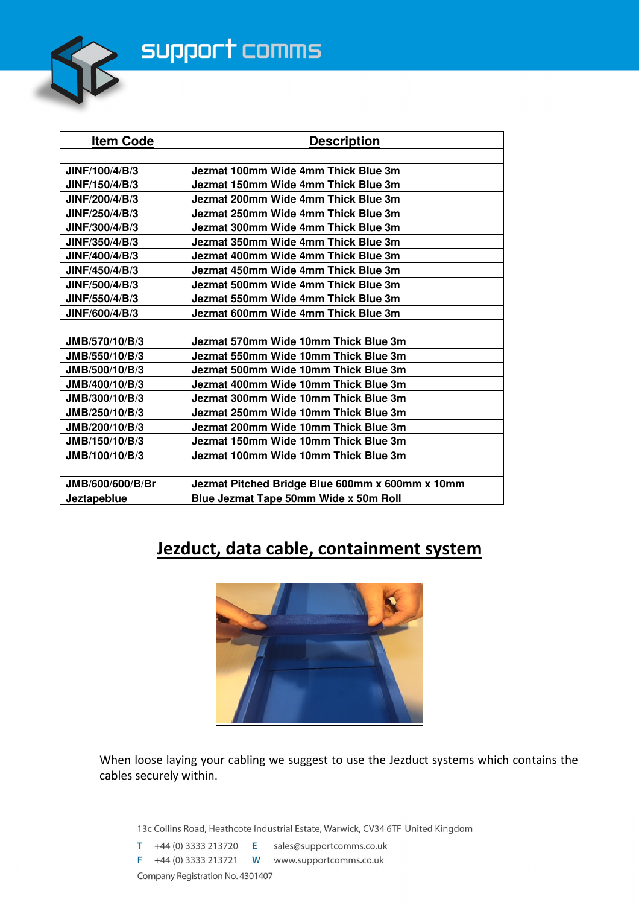# support comms



| <b>Item Code</b>      | <b>Description</b>                              |  |
|-----------------------|-------------------------------------------------|--|
|                       |                                                 |  |
| JINF/100/4/B/3        | Jezmat 100mm Wide 4mm Thick Blue 3m             |  |
| JINF/150/4/B/3        | Jezmat 150mm Wide 4mm Thick Blue 3m             |  |
| JINF/200/4/B/3        | Jezmat 200mm Wide 4mm Thick Blue 3m             |  |
| JINF/250/4/B/3        | Jezmat 250mm Wide 4mm Thick Blue 3m             |  |
| <b>JINF/300/4/B/3</b> | Jezmat 300mm Wide 4mm Thick Blue 3m             |  |
| <b>JINF/350/4/B/3</b> | Jezmat 350mm Wide 4mm Thick Blue 3m             |  |
| <b>JINF/400/4/B/3</b> | Jezmat 400mm Wide 4mm Thick Blue 3m             |  |
| JINF/450/4/B/3        | Jezmat 450mm Wide 4mm Thick Blue 3m             |  |
| JINF/500/4/B/3        | Jezmat 500mm Wide 4mm Thick Blue 3m             |  |
| JINF/550/4/B/3        | Jezmat 550mm Wide 4mm Thick Blue 3m             |  |
| JINF/600/4/B/3        | Jezmat 600mm Wide 4mm Thick Blue 3m             |  |
|                       |                                                 |  |
| JMB/570/10/B/3        | Jezmat 570mm Wide 10mm Thick Blue 3m            |  |
| JMB/550/10/B/3        | Jezmat 550mm Wide 10mm Thick Blue 3m            |  |
| JMB/500/10/B/3        | Jezmat 500mm Wide 10mm Thick Blue 3m            |  |
| JMB/400/10/B/3        | Jezmat 400mm Wide 10mm Thick Blue 3m            |  |
| JMB/300/10/B/3        | Jezmat 300mm Wide 10mm Thick Blue 3m            |  |
| JMB/250/10/B/3        | Jezmat 250mm Wide 10mm Thick Blue 3m            |  |
| JMB/200/10/B/3        | Jezmat 200mm Wide 10mm Thick Blue 3m            |  |
| JMB/150/10/B/3        | Jezmat 150mm Wide 10mm Thick Blue 3m            |  |
| JMB/100/10/B/3        | Jezmat 100mm Wide 10mm Thick Blue 3m            |  |
|                       |                                                 |  |
| JMB/600/600/B/Br      | Jezmat Pitched Bridge Blue 600mm x 600mm x 10mm |  |
| Jeztapeblue           | Blue Jezmat Tape 50mm Wide x 50m Roll           |  |

### **Jezduct, data cable, containment system**



When loose laying your cabling we suggest to use the Jezduct systems which contains the cables securely within.

13c Collins Road, Heathcote Industrial Estate, Warwick, CV34 6TF United Kingdom

T +44 (0) 3333 213720  $E$  sales@supportcomms.co.uk F +44 (0) 3333 213721  $W$  www.supportcomms.co.uk Company Registration No. 4301407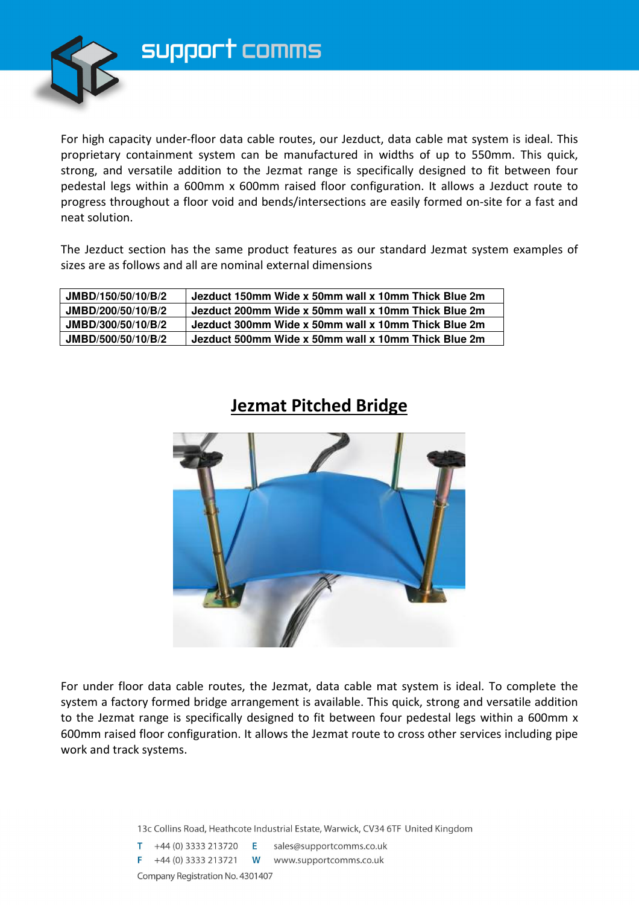

For high capacity under-floor data cable routes, our Jezduct, data cable mat system is ideal. This proprietary containment system can be manufactured in widths of up to 550mm. This quick, strong, and versatile addition to the Jezmat range is specifically designed to fit between four pedestal legs within a 600mm x 600mm raised floor configuration. It allows a Jezduct route to progress throughout a floor void and bends/intersections are easily formed on-site for a fast and neat solution.

The Jezduct section has the same product features as our standard Jezmat system examples of sizes are as follows and all are nominal external dimensions

| JMBD/150/50/10/B/2 | Jezduct 150mm Wide x 50mm wall x 10mm Thick Blue 2m |
|--------------------|-----------------------------------------------------|
| JMBD/200/50/10/B/2 | Jezduct 200mm Wide x 50mm wall x 10mm Thick Blue 2m |
| JMBD/300/50/10/B/2 | Jezduct 300mm Wide x 50mm wall x 10mm Thick Blue 2m |
| JMBD/500/50/10/B/2 | Jezduct 500mm Wide x 50mm wall x 10mm Thick Blue 2m |

#### **Jezmat Pitched Bridge**



For under floor data cable routes, the Jezmat, data cable mat system is ideal. To complete the system a factory formed bridge arrangement is available. This quick, strong and versatile addition to the Jezmat range is specifically designed to fit between four pedestal legs within a 600mm x 600mm raised floor configuration. It allows the Jezmat route to cross other services including pipe work and track systems.

13c Collins Road, Heathcote Industrial Estate, Warwick, CV34 6TF United Kingdom

 $T +44(0)$  3333 213720 E sales@supportcomms.co.uk F +44 (0) 3333 213721  $W$  www.supportcomms.co.uk Company Registration No. 4301407